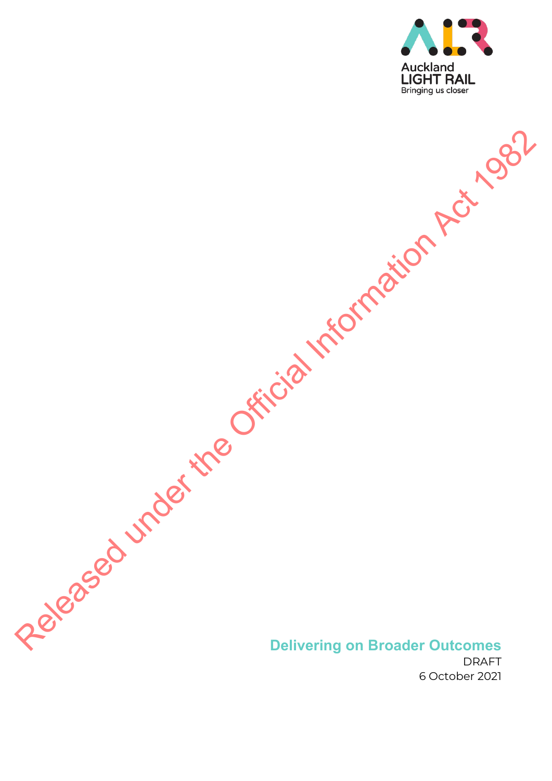

# **Delivering on Broader Outcomes**  Released under the Official Information Act 1982

DRAFT 6 October 2021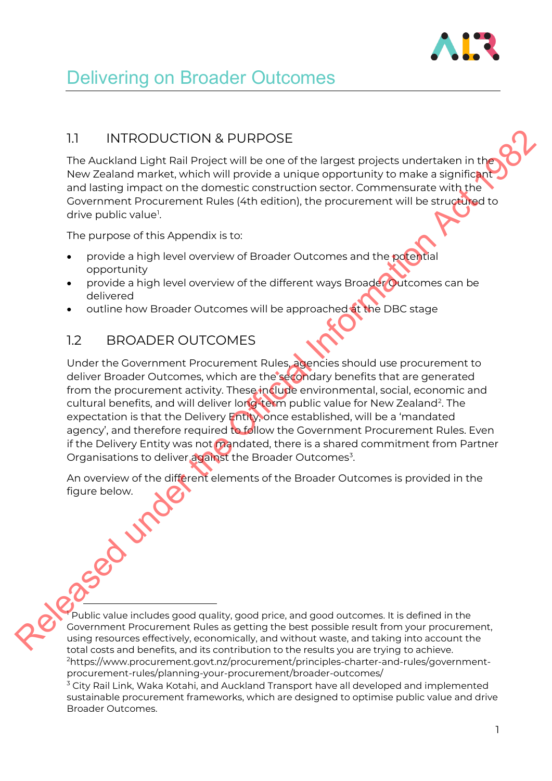

# Delivering on Broader Outcomes

## 1.1 INTRODUCTION & PURPOSE

The Auckland Light Rail Project will be one of the largest projects undertaken in the New Zealand market, which will provide a unique opportunity to make a significant and lasting impact on the domestic construction sector. Commensurate with the Government Procurement Rules (4th edition), the procurement will be structured to drive public value<sup>1</sup>.

The purpose of this Appendix is to:

- provide a high level overview of Broader Outcomes and the potential opportunity
- provide a high level overview of the different ways Broader Outcomes can be delivered
- outline how Broader Outcomes will be approached at the DBC stage

## 1.2 BROADER OUTCOMES

Under the Government Procurement Rules, agencies should use procurement to deliver Broader Outcomes, which are the secondary benefits that are generated from the procurement activity. These include environmental, social, economic and cultural benefits, and will deliver long-term public value for New Zealand<sup>2</sup>. The expectation is that the Delivery Entity, once established, will be a 'mandated agency', and therefore required to follow the Government Procurement Rules. Even if the Delivery Entity was not mandated, there is a shared commitment from Partner Organisations to deliver against the Broader Outcomes<sup>3</sup>. 1.1 INTRODUCTION & PURPOSE<br>
The Auckhard Light Religions in the District will be one of the largest projects undertaken in the<br>
New Zealand market, which will provide a unique opportunity to make a significial<br>
and taking

An overview of the different elements of the Broader Outcomes is provided in the figure below.

Public value includes good quality, good price, and good outcomes. It is defined in the Government Procurement Rules as getting the best possible result from your procurement, using resources effectively, economically, and without waste, and taking into account the total costs and benefits, and its contribution to the results you are trying to achieve. 2 https://www.procurement.govt.nz/procurement/principles-charter-and-rules/governmentprocurement-rules/planning-your-procurement/broader-outcomes/

 $3$  City Rail Link, Waka Kotahi, and Auckland Transport have all developed and implemented sustainable procurement frameworks, which are designed to optimise public value and drive Broader Outcomes.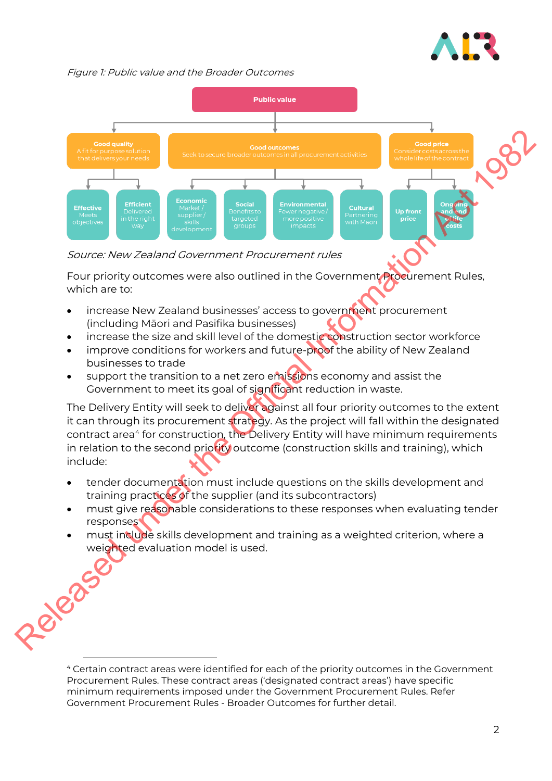

Figure 1: Public value and the Broader Outcomes



Source: New Zealand Government Procurement rules

Four priority outcomes were also outlined in the Government Procurement Rules, which are to:

- increase New Zealand businesses' access to government procurement (including Māori and Pasifika businesses)
- increase the size and skill level of the domestic construction sector workforce
- improve conditions for workers and future-proof the ability of New Zealand businesses to trade
- support the transition to a net zero emissions economy and assist the Government to meet its goal of significant reduction in waste.

The Delivery Entity will seek to deliver against all four priority outcomes to the extent it can through its procurement strategy. As the project will fall within the designated contract area<sup>4</sup> for construction, the Delivery Entity will have minimum requirements in relation to the second priority outcome (construction skills and training), which include:

- tender documentation must include questions on the skills development and training practices of the supplier (and its subcontractors)
- must give reasonable considerations to these responses when evaluating tender responses
- must include skills development and training as a weighted criterion, where a weighted evaluation model is used.

<sup>4</sup> Certain contract areas were identified for each of the priority outcomes in the Government Procurement Rules. These contract areas ('designated contract areas') have specific minimum requirements imposed under the Government Procurement Rules. Refer Government Procurement Rules - Broader Outcomes for further detail.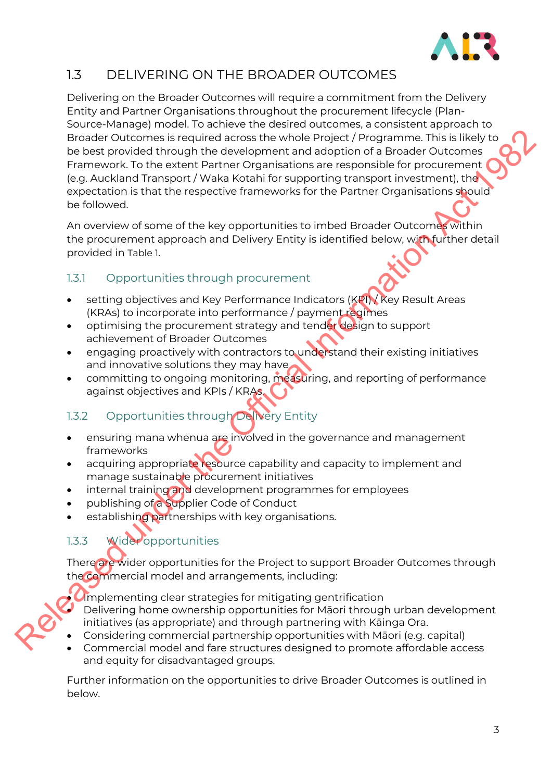

# 1.3 DELIVERING ON THE BROADER OUTCOMES

Delivering on the Broader Outcomes will require a commitment from the Delivery Entity and Partner Organisations throughout the procurement lifecycle (Plan-Source-Manage) model. To achieve the desired outcomes, a consistent approach to Broader Outcomes is required across the whole Project / Programme. This is likely to be best provided through the development and adoption of a Broader Outcomes Framework. To the extent Partner Organisations are responsible for procurement (e.g. Auckland Transport / Waka Kotahi for supporting transport investment), the expectation is that the respective frameworks for the Partner Organisations should be followed. Recard Curcuments it required actors the whole Projecuring This listellate the provided increased the origin and the Projecuring This is the Northon Capacities (Sq. Aucklard Transport) Wake Actsiniter supporting transport

An overview of some of the key opportunities to imbed Broader Outcomes within the procurement approach and Delivery Entity is identified below, with further detail provided in Table 1.

### 1.3.1 Opportunities through procurement

- setting objectives and Key Performance Indicators (KPI) Key Result Areas (KRAs) to incorporate into performance / payment regimes
- optimising the procurement strategy and tender design to support achievement of Broader Outcomes
- engaging proactively with contractors to understand their existing initiatives and innovative solutions they may have
- committing to ongoing monitoring, measuring, and reporting of performance against objectives and KPIs / KRAs.

# 1.3.2 Opportunities through Delivery Entity

- ensuring mana whenua are involved in the governance and management frameworks
- acquiring appropriate resource capability and capacity to implement and manage sustainable procurement initiatives
- internal training and development programmes for employees
- publishing of a Supplier Code of Conduct
- establishing partnerships with key organisations.

# 1.3.3 Wider opportunities

There are wider opportunities for the Project to support Broader Outcomes through the commercial model and arrangements, including:

**Umplementing clear strategies for mitigating gentrification** • Delivering home ownership opportunities for Māori through urban development initiatives (as appropriate) and through partnering with Kāinga Ora.

- Considering commercial partnership opportunities with Māori (e.g. capital)
- Commercial model and fare structures designed to promote affordable access and equity for disadvantaged groups.

Further information on the opportunities to drive Broader Outcomes is outlined in below.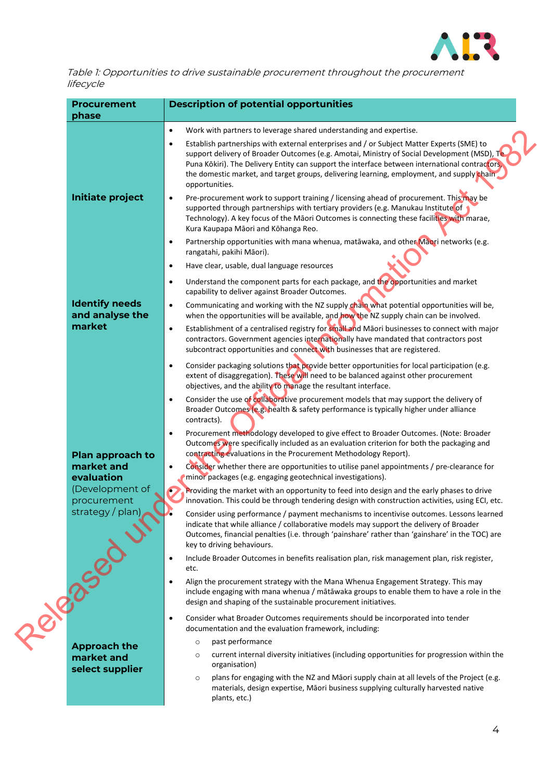

Table 1: Opportunities to drive sustainable procurement throughout the procurement lifecycle

| <b>Procurement</b><br>phase              | <b>Description of potential opportunities</b>                                                                                                                                                                                                                                                                                                                                                                  |
|------------------------------------------|----------------------------------------------------------------------------------------------------------------------------------------------------------------------------------------------------------------------------------------------------------------------------------------------------------------------------------------------------------------------------------------------------------------|
|                                          | Work with partners to leverage shared understanding and expertise.<br>$\bullet$                                                                                                                                                                                                                                                                                                                                |
|                                          | Establish partnerships with external enterprises and / or Subject Matter Experts (SME) to<br>٠<br>support delivery of Broader Outcomes (e.g. Amotai, Ministry of Social Development (MSD), Te<br>Puna Kōkiri). The Delivery Entity can support the interface between international contractors,<br>the domestic market, and target groups, delivering learning, employment, and supply chain<br>opportunities. |
| <b>Initiate project</b>                  | Pre-procurement work to support training / licensing ahead of procurement. This may be<br>$\bullet$<br>supported through partnerships with tertiary providers (e.g. Manukau Institute of<br>Technology). A key focus of the Māori Outcomes is connecting these facilities with marae,<br>Kura Kaupapa Māori and Kōhanga Reo.                                                                                   |
|                                          | Partnership opportunities with mana whenua, matāwaka, and other Māori networks (e.g.<br>$\bullet$<br>rangatahi, pakihi Māori).                                                                                                                                                                                                                                                                                 |
|                                          | Have clear, usable, dual language resources<br>$\bullet$                                                                                                                                                                                                                                                                                                                                                       |
|                                          | Understand the component parts for each package, and the opportunities and market<br>$\bullet$<br>capability to deliver against Broader Outcomes.                                                                                                                                                                                                                                                              |
| <b>Identify needs</b><br>and analyse the | Communicating and working with the NZ supply chain what potential opportunities will be,<br>$\bullet$<br>when the opportunities will be available, and how the NZ supply chain can be involved.                                                                                                                                                                                                                |
| market                                   | Establishment of a centralised registry for small and Maori businesses to connect with major<br>$\bullet$<br>contractors. Government agencies internationally have mandated that contractors post<br>subcontract opportunities and connect with businesses that are registered.                                                                                                                                |
|                                          | Consider packaging solutions that provide better opportunities for local participation (e.g.<br>$\bullet$<br>extent of disaggregation). These will need to be balanced against other procurement<br>objectives, and the ability to manage the resultant interface.                                                                                                                                             |
|                                          | Consider the use of collaborative procurement models that may support the delivery of<br>$\bullet$<br>Broader Outcomes (e.g. health & safety performance is typically higher under alliance<br>contracts).                                                                                                                                                                                                     |
| Plan approach to                         | Procurement methodology developed to give effect to Broader Outcomes. (Note: Broader<br>٠<br>Outcomes were specifically included as an evaluation criterion for both the packaging and<br>contracting evaluations in the Procurement Methodology Report).                                                                                                                                                      |
| market and<br>evaluation                 | Consider whether there are opportunities to utilise panel appointments / pre-clearance for<br>$\bullet$<br>minor packages (e.g. engaging geotechnical investigations).                                                                                                                                                                                                                                         |
| (Development of<br>procurement           | Providing the market with an opportunity to feed into design and the early phases to drive<br>innovation. This could be through tendering design with construction activities, using ECI, etc.                                                                                                                                                                                                                 |
| strategy / plan)                         | Consider using performance / payment mechanisms to incentivise outcomes. Lessons learned<br>indicate that while alliance / collaborative models may support the delivery of Broader<br>Outcomes, financial penalties (i.e. through 'painshare' rather than 'gainshare' in the TOC) are<br>key to driving behaviours.                                                                                           |
|                                          | Include Broader Outcomes in benefits realisation plan, risk management plan, risk register,<br>$\bullet$<br>etc.                                                                                                                                                                                                                                                                                               |
| 10/82582                                 | Align the procurement strategy with the Mana Whenua Engagement Strategy. This may<br>$\bullet$<br>include engaging with mana whenua / mātāwaka groups to enable them to have a role in the<br>design and shaping of the sustainable procurement initiatives.                                                                                                                                                   |
|                                          | Consider what Broader Outcomes requirements should be incorporated into tender<br>$\bullet$<br>documentation and the evaluation framework, including:                                                                                                                                                                                                                                                          |
| <b>Approach the</b>                      | past performance<br>$\circ$                                                                                                                                                                                                                                                                                                                                                                                    |
| market and<br>select supplier            | current internal diversity initiatives (including opportunities for progression within the<br>$\circ$<br>organisation)                                                                                                                                                                                                                                                                                         |
|                                          | plans for engaging with the NZ and Māori supply chain at all levels of the Project (e.g.<br>$\circ$<br>materials, design expertise, Māori business supplying culturally harvested native<br>plants, etc.)                                                                                                                                                                                                      |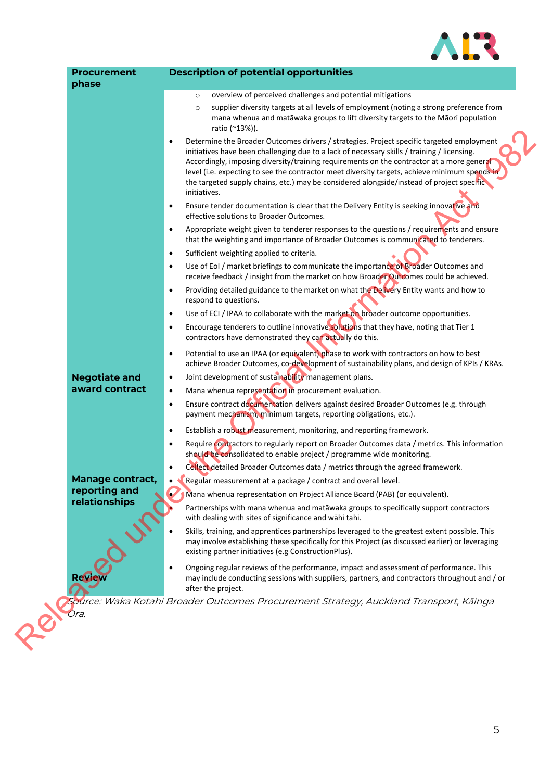

| <b>Procurement</b>             | <b>Description of potential opportunities</b>                                                                                                                                                                                                                                                                                                                                                                                                                                                                    |
|--------------------------------|------------------------------------------------------------------------------------------------------------------------------------------------------------------------------------------------------------------------------------------------------------------------------------------------------------------------------------------------------------------------------------------------------------------------------------------------------------------------------------------------------------------|
| phase                          | overview of perceived challenges and potential mitigations<br>$\circ$                                                                                                                                                                                                                                                                                                                                                                                                                                            |
|                                | supplier diversity targets at all levels of employment (noting a strong preference from<br>$\circ$<br>mana whenua and matāwaka groups to lift diversity targets to the Māori population<br>ratio (~13%)).                                                                                                                                                                                                                                                                                                        |
|                                | Determine the Broader Outcomes drivers / strategies. Project specific targeted employment<br>$\bullet$<br>initiatives have been challenging due to a lack of necessary skills / training / licensing.<br>Accordingly, imposing diversity/training requirements on the contractor at a more general<br>level (i.e. expecting to see the contractor meet diversity targets, achieve minimum spends in<br>the targeted supply chains, etc.) may be considered alongside/instead of project specific<br>initiatives. |
|                                | Ensure tender documentation is clear that the Delivery Entity is seeking innovative and<br>$\bullet$<br>effective solutions to Broader Outcomes.                                                                                                                                                                                                                                                                                                                                                                 |
|                                | Appropriate weight given to tenderer responses to the questions / requirements and ensure<br>$\bullet$<br>that the weighting and importance of Broader Outcomes is communicated to tenderers.                                                                                                                                                                                                                                                                                                                    |
|                                | Sufficient weighting applied to criteria.<br>$\bullet$                                                                                                                                                                                                                                                                                                                                                                                                                                                           |
|                                | Use of EoI / market briefings to communicate the importance of Broader Outcomes and<br>$\bullet$<br>receive feedback / insight from the market on how Broader Outcomes could be achieved.                                                                                                                                                                                                                                                                                                                        |
|                                | Providing detailed guidance to the market on what the Delivery Entity wants and how to<br>$\bullet$<br>respond to questions.                                                                                                                                                                                                                                                                                                                                                                                     |
|                                | Use of ECI / IPAA to collaborate with the market on broader outcome opportunities.<br>$\bullet$                                                                                                                                                                                                                                                                                                                                                                                                                  |
|                                | Encourage tenderers to outline innovative solutions that they have, noting that Tier 1<br>$\bullet$<br>contractors have demonstrated they can actually do this.                                                                                                                                                                                                                                                                                                                                                  |
|                                | Potential to use an IPAA (or equivalent) phase to work with contractors on how to best<br>$\bullet$<br>achieve Broader Outcomes, co-development of sustainability plans, and design of KPIs / KRAs.                                                                                                                                                                                                                                                                                                              |
| <b>Negotiate and</b>           | Joint development of sustainability management plans.<br>$\bullet$                                                                                                                                                                                                                                                                                                                                                                                                                                               |
| award contract                 | Mana whenua representation in procurement evaluation.<br>$\bullet$                                                                                                                                                                                                                                                                                                                                                                                                                                               |
|                                | Ensure contract documentation delivers against desired Broader Outcomes (e.g. through<br>$\bullet$<br>payment mechanism, minimum targets, reporting obligations, etc.).                                                                                                                                                                                                                                                                                                                                          |
|                                | Establish a robust measurement, monitoring, and reporting framework.<br>$\bullet$                                                                                                                                                                                                                                                                                                                                                                                                                                |
|                                | Require contractors to regularly report on Broader Outcomes data / metrics. This information<br>$\bullet$<br>should be consolidated to enable project / programme wide monitoring.                                                                                                                                                                                                                                                                                                                               |
|                                | Collect detailed Broader Outcomes data / metrics through the agreed framework.<br>$\bullet$                                                                                                                                                                                                                                                                                                                                                                                                                      |
| <b>Manage contract,</b>        | Regular measurement at a package / contract and overall level.<br>$\bullet$                                                                                                                                                                                                                                                                                                                                                                                                                                      |
| reporting and<br>relationships | Mana whenua representation on Project Alliance Board (PAB) (or equivalent).                                                                                                                                                                                                                                                                                                                                                                                                                                      |
|                                | Partnerships with mana whenua and matawaka groups to specifically support contractors<br>with dealing with sites of significance and wāhi tahi.                                                                                                                                                                                                                                                                                                                                                                  |
|                                | Skills, training, and apprentices partnerships leveraged to the greatest extent possible. This<br>may involve establishing these specifically for this Project (as discussed earlier) or leveraging<br>existing partner initiatives (e.g ConstructionPlus).                                                                                                                                                                                                                                                      |
| Rev                            | Ongoing regular reviews of the performance, impact and assessment of performance. This<br>$\bullet$<br>may include conducting sessions with suppliers, partners, and contractors throughout and / or<br>after the project.                                                                                                                                                                                                                                                                                       |
|                                | Source: Waka Kotahi Broader Outcomes Procurement Strategy, Auckland Transport, Kāinga                                                                                                                                                                                                                                                                                                                                                                                                                            |